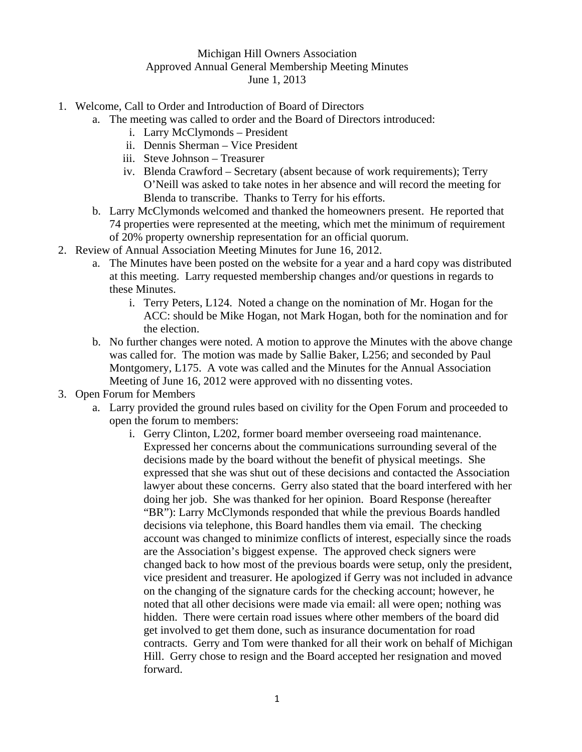## Michigan Hill Owners Association Approved Annual General Membership Meeting Minutes June 1, 2013

- 1. Welcome, Call to Order and Introduction of Board of Directors
	- a. The meeting was called to order and the Board of Directors introduced:
		- i. Larry McClymonds President
		- ii. Dennis Sherman Vice President
		- iii. Steve Johnson Treasurer
		- iv. Blenda Crawford Secretary (absent because of work requirements); Terry O'Neill was asked to take notes in her absence and will record the meeting for Blenda to transcribe. Thanks to Terry for his efforts.
	- b. Larry McClymonds welcomed and thanked the homeowners present. He reported that 74 properties were represented at the meeting, which met the minimum of requirement of 20% property ownership representation for an official quorum.
- 2. Review of Annual Association Meeting Minutes for June 16, 2012.
	- a. The Minutes have been posted on the website for a year and a hard copy was distributed at this meeting. Larry requested membership changes and/or questions in regards to these Minutes.
		- i. Terry Peters, L124. Noted a change on the nomination of Mr. Hogan for the ACC: should be Mike Hogan, not Mark Hogan, both for the nomination and for the election.
	- b. No further changes were noted. A motion to approve the Minutes with the above change was called for. The motion was made by Sallie Baker, L256; and seconded by Paul Montgomery, L175. A vote was called and the Minutes for the Annual Association Meeting of June 16, 2012 were approved with no dissenting votes.
- 3. Open Forum for Members
	- a. Larry provided the ground rules based on civility for the Open Forum and proceeded to open the forum to members:
		- i. Gerry Clinton, L202, former board member overseeing road maintenance. Expressed her concerns about the communications surrounding several of the decisions made by the board without the benefit of physical meetings. She expressed that she was shut out of these decisions and contacted the Association lawyer about these concerns. Gerry also stated that the board interfered with her doing her job. She was thanked for her opinion. Board Response (hereafter "BR"): Larry McClymonds responded that while the previous Boards handled decisions via telephone, this Board handles them via email. The checking account was changed to minimize conflicts of interest, especially since the roads are the Association's biggest expense. The approved check signers were changed back to how most of the previous boards were setup, only the president, vice president and treasurer. He apologized if Gerry was not included in advance on the changing of the signature cards for the checking account; however, he noted that all other decisions were made via email: all were open; nothing was hidden. There were certain road issues where other members of the board did get involved to get them done, such as insurance documentation for road contracts. Gerry and Tom were thanked for all their work on behalf of Michigan Hill. Gerry chose to resign and the Board accepted her resignation and moved forward.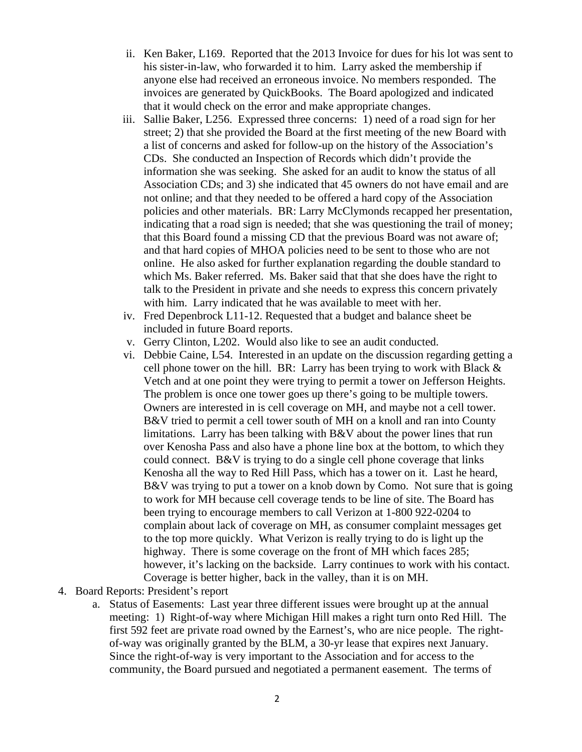- ii. Ken Baker, L169. Reported that the 2013 Invoice for dues for his lot was sent to his sister-in-law, who forwarded it to him. Larry asked the membership if anyone else had received an erroneous invoice. No members responded. The invoices are generated by QuickBooks. The Board apologized and indicated that it would check on the error and make appropriate changes.
- iii. Sallie Baker, L256. Expressed three concerns: 1) need of a road sign for her street; 2) that she provided the Board at the first meeting of the new Board with a list of concerns and asked for follow-up on the history of the Association's CDs. She conducted an Inspection of Records which didn't provide the information she was seeking. She asked for an audit to know the status of all Association CDs; and 3) she indicated that 45 owners do not have email and are not online; and that they needed to be offered a hard copy of the Association policies and other materials. BR: Larry McClymonds recapped her presentation, indicating that a road sign is needed; that she was questioning the trail of money; that this Board found a missing CD that the previous Board was not aware of; and that hard copies of MHOA policies need to be sent to those who are not online. He also asked for further explanation regarding the double standard to which Ms. Baker referred. Ms. Baker said that that she does have the right to talk to the President in private and she needs to express this concern privately with him. Larry indicated that he was available to meet with her.
- iv. Fred Depenbrock L11-12. Requested that a budget and balance sheet be included in future Board reports.
- v. Gerry Clinton, L202. Would also like to see an audit conducted.
- vi. Debbie Caine, L54. Interested in an update on the discussion regarding getting a cell phone tower on the hill. BR: Larry has been trying to work with Black  $\&$ Vetch and at one point they were trying to permit a tower on Jefferson Heights. The problem is once one tower goes up there's going to be multiple towers. Owners are interested in is cell coverage on MH, and maybe not a cell tower. B&V tried to permit a cell tower south of MH on a knoll and ran into County limitations. Larry has been talking with B&V about the power lines that run over Kenosha Pass and also have a phone line box at the bottom, to which they could connect. B&V is trying to do a single cell phone coverage that links Kenosha all the way to Red Hill Pass, which has a tower on it. Last he heard, B&V was trying to put a tower on a knob down by Como. Not sure that is going to work for MH because cell coverage tends to be line of site. The Board has been trying to encourage members to call Verizon at 1-800 922-0204 to complain about lack of coverage on MH, as consumer complaint messages get to the top more quickly. What Verizon is really trying to do is light up the highway. There is some coverage on the front of MH which faces 285; however, it's lacking on the backside. Larry continues to work with his contact. Coverage is better higher, back in the valley, than it is on MH.
- 4. Board Reports: President's report
	- a. Status of Easements: Last year three different issues were brought up at the annual meeting: 1) Right-of-way where Michigan Hill makes a right turn onto Red Hill. The first 592 feet are private road owned by the Earnest's, who are nice people. The rightof-way was originally granted by the BLM, a 30-yr lease that expires next January. Since the right-of-way is very important to the Association and for access to the community, the Board pursued and negotiated a permanent easement. The terms of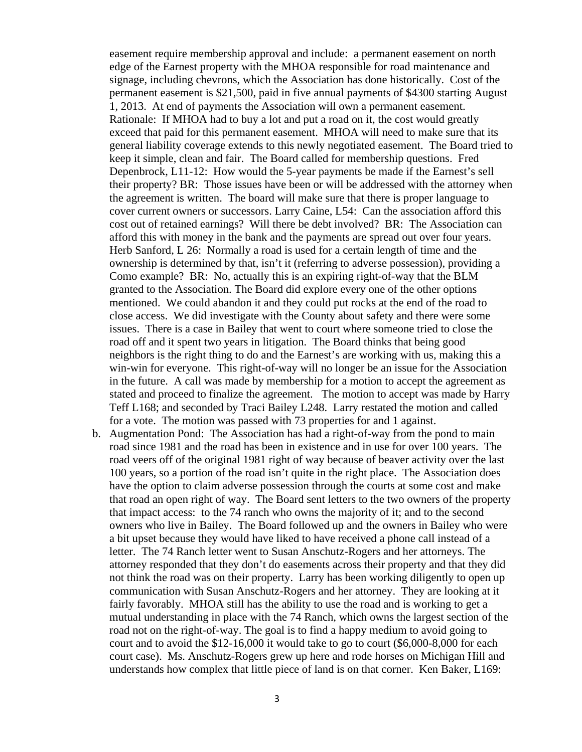easement require membership approval and include: a permanent easement on north edge of the Earnest property with the MHOA responsible for road maintenance and signage, including chevrons, which the Association has done historically. Cost of the permanent easement is \$21,500, paid in five annual payments of \$4300 starting August 1, 2013. At end of payments the Association will own a permanent easement. Rationale: If MHOA had to buy a lot and put a road on it, the cost would greatly exceed that paid for this permanent easement. MHOA will need to make sure that its general liability coverage extends to this newly negotiated easement. The Board tried to keep it simple, clean and fair. The Board called for membership questions. Fred Depenbrock, L11-12: How would the 5-year payments be made if the Earnest's sell their property? BR: Those issues have been or will be addressed with the attorney when the agreement is written. The board will make sure that there is proper language to cover current owners or successors. Larry Caine, L54: Can the association afford this cost out of retained earnings? Will there be debt involved? BR: The Association can afford this with money in the bank and the payments are spread out over four years. Herb Sanford, L 26: Normally a road is used for a certain length of time and the ownership is determined by that, isn't it (referring to adverse possession), providing a Como example? BR: No, actually this is an expiring right-of-way that the BLM granted to the Association. The Board did explore every one of the other options mentioned. We could abandon it and they could put rocks at the end of the road to close access. We did investigate with the County about safety and there were some issues. There is a case in Bailey that went to court where someone tried to close the road off and it spent two years in litigation. The Board thinks that being good neighbors is the right thing to do and the Earnest's are working with us, making this a win-win for everyone. This right-of-way will no longer be an issue for the Association in the future. A call was made by membership for a motion to accept the agreement as stated and proceed to finalize the agreement. The motion to accept was made by Harry Teff L168; and seconded by Traci Bailey L248. Larry restated the motion and called for a vote. The motion was passed with 73 properties for and 1 against.

b. Augmentation Pond: The Association has had a right-of-way from the pond to main road since 1981 and the road has been in existence and in use for over 100 years. The road veers off of the original 1981 right of way because of beaver activity over the last 100 years, so a portion of the road isn't quite in the right place. The Association does have the option to claim adverse possession through the courts at some cost and make that road an open right of way. The Board sent letters to the two owners of the property that impact access: to the 74 ranch who owns the majority of it; and to the second owners who live in Bailey. The Board followed up and the owners in Bailey who were a bit upset because they would have liked to have received a phone call instead of a letter. The 74 Ranch letter went to Susan Anschutz-Rogers and her attorneys. The attorney responded that they don't do easements across their property and that they did not think the road was on their property. Larry has been working diligently to open up communication with Susan Anschutz-Rogers and her attorney. They are looking at it fairly favorably. MHOA still has the ability to use the road and is working to get a mutual understanding in place with the 74 Ranch, which owns the largest section of the road not on the right-of-way. The goal is to find a happy medium to avoid going to court and to avoid the \$12-16,000 it would take to go to court (\$6,000-8,000 for each court case). Ms. Anschutz-Rogers grew up here and rode horses on Michigan Hill and understands how complex that little piece of land is on that corner. Ken Baker, L169: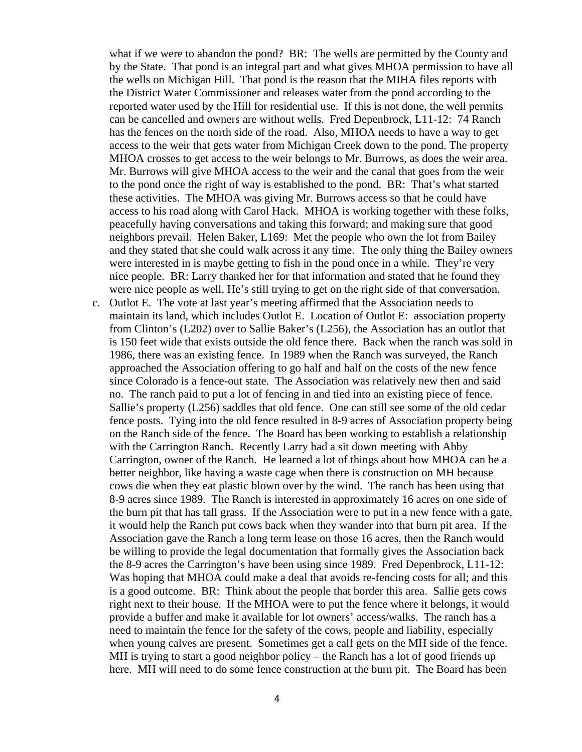what if we were to abandon the pond? BR: The wells are permitted by the County and by the State. That pond is an integral part and what gives MHOA permission to have all the wells on Michigan Hill. That pond is the reason that the MIHA files reports with the District Water Commissioner and releases water from the pond according to the reported water used by the Hill for residential use. If this is not done, the well permits can be cancelled and owners are without wells. Fred Depenbrock, L11-12: 74 Ranch has the fences on the north side of the road. Also, MHOA needs to have a way to get access to the weir that gets water from Michigan Creek down to the pond. The property MHOA crosses to get access to the weir belongs to Mr. Burrows, as does the weir area. Mr. Burrows will give MHOA access to the weir and the canal that goes from the weir to the pond once the right of way is established to the pond. BR: That's what started these activities. The MHOA was giving Mr. Burrows access so that he could have access to his road along with Carol Hack. MHOA is working together with these folks, peacefully having conversations and taking this forward; and making sure that good neighbors prevail. Helen Baker, L169: Met the people who own the lot from Bailey and they stated that she could walk across it any time. The only thing the Bailey owners were interested in is maybe getting to fish in the pond once in a while. They're very nice people. BR: Larry thanked her for that information and stated that he found they were nice people as well. He's still trying to get on the right side of that conversation.

c. Outlot E. The vote at last year's meeting affirmed that the Association needs to maintain its land, which includes Outlot E. Location of Outlot E: association property from Clinton's (L202) over to Sallie Baker's (L256), the Association has an outlot that is 150 feet wide that exists outside the old fence there. Back when the ranch was sold in 1986, there was an existing fence. In 1989 when the Ranch was surveyed, the Ranch approached the Association offering to go half and half on the costs of the new fence since Colorado is a fence-out state. The Association was relatively new then and said no. The ranch paid to put a lot of fencing in and tied into an existing piece of fence. Sallie's property (L256) saddles that old fence. One can still see some of the old cedar fence posts. Tying into the old fence resulted in 8-9 acres of Association property being on the Ranch side of the fence. The Board has been working to establish a relationship with the Carrington Ranch. Recently Larry had a sit down meeting with Abby Carrington, owner of the Ranch. He learned a lot of things about how MHOA can be a better neighbor, like having a waste cage when there is construction on MH because cows die when they eat plastic blown over by the wind. The ranch has been using that 8-9 acres since 1989. The Ranch is interested in approximately 16 acres on one side of the burn pit that has tall grass. If the Association were to put in a new fence with a gate, it would help the Ranch put cows back when they wander into that burn pit area. If the Association gave the Ranch a long term lease on those 16 acres, then the Ranch would be willing to provide the legal documentation that formally gives the Association back the 8-9 acres the Carrington's have been using since 1989. Fred Depenbrock, L11-12: Was hoping that MHOA could make a deal that avoids re-fencing costs for all; and this is a good outcome. BR: Think about the people that border this area. Sallie gets cows right next to their house. If the MHOA were to put the fence where it belongs, it would provide a buffer and make it available for lot owners' access/walks. The ranch has a need to maintain the fence for the safety of the cows, people and liability, especially when young calves are present. Sometimes get a calf gets on the MH side of the fence. MH is trying to start a good neighbor policy – the Ranch has a lot of good friends up here. MH will need to do some fence construction at the burn pit. The Board has been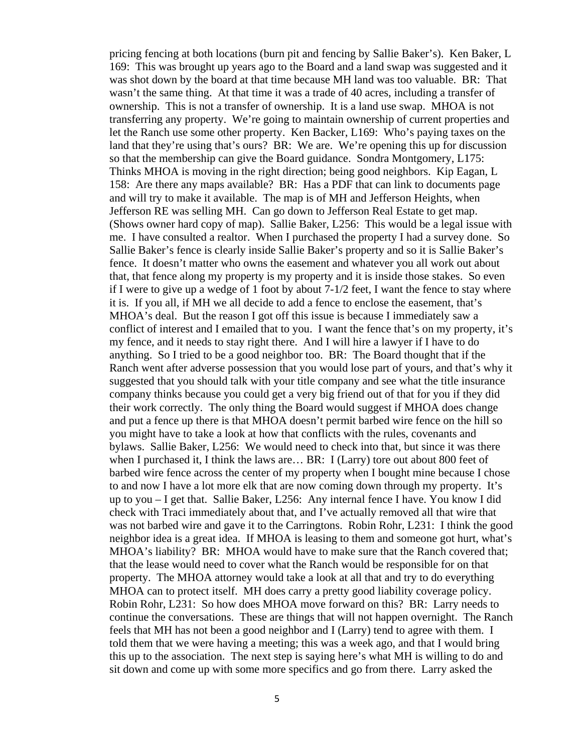pricing fencing at both locations (burn pit and fencing by Sallie Baker's). Ken Baker, L 169: This was brought up years ago to the Board and a land swap was suggested and it was shot down by the board at that time because MH land was too valuable. BR: That wasn't the same thing. At that time it was a trade of 40 acres, including a transfer of ownership. This is not a transfer of ownership. It is a land use swap. MHOA is not transferring any property. We're going to maintain ownership of current properties and let the Ranch use some other property. Ken Backer, L169: Who's paying taxes on the land that they're using that's ours? BR: We are. We're opening this up for discussion so that the membership can give the Board guidance. Sondra Montgomery, L175: Thinks MHOA is moving in the right direction; being good neighbors. Kip Eagan, L 158: Are there any maps available? BR: Has a PDF that can link to documents page and will try to make it available. The map is of MH and Jefferson Heights, when Jefferson RE was selling MH. Can go down to Jefferson Real Estate to get map. (Shows owner hard copy of map). Sallie Baker, L256: This would be a legal issue with me. I have consulted a realtor. When I purchased the property I had a survey done. So Sallie Baker's fence is clearly inside Sallie Baker's property and so it is Sallie Baker's fence. It doesn't matter who owns the easement and whatever you all work out about that, that fence along my property is my property and it is inside those stakes. So even if I were to give up a wedge of 1 foot by about  $7-1/2$  feet, I want the fence to stay where it is. If you all, if MH we all decide to add a fence to enclose the easement, that's MHOA's deal. But the reason I got off this issue is because I immediately saw a conflict of interest and I emailed that to you. I want the fence that's on my property, it's my fence, and it needs to stay right there. And I will hire a lawyer if I have to do anything. So I tried to be a good neighbor too. BR: The Board thought that if the Ranch went after adverse possession that you would lose part of yours, and that's why it suggested that you should talk with your title company and see what the title insurance company thinks because you could get a very big friend out of that for you if they did their work correctly. The only thing the Board would suggest if MHOA does change and put a fence up there is that MHOA doesn't permit barbed wire fence on the hill so you might have to take a look at how that conflicts with the rules, covenants and bylaws. Sallie Baker, L256: We would need to check into that, but since it was there when I purchased it, I think the laws are… BR: I (Larry) tore out about 800 feet of barbed wire fence across the center of my property when I bought mine because I chose to and now I have a lot more elk that are now coming down through my property. It's up to you – I get that. Sallie Baker, L256: Any internal fence I have. You know I did check with Traci immediately about that, and I've actually removed all that wire that was not barbed wire and gave it to the Carringtons. Robin Rohr, L231: I think the good neighbor idea is a great idea. If MHOA is leasing to them and someone got hurt, what's MHOA's liability? BR: MHOA would have to make sure that the Ranch covered that; that the lease would need to cover what the Ranch would be responsible for on that property. The MHOA attorney would take a look at all that and try to do everything MHOA can to protect itself. MH does carry a pretty good liability coverage policy. Robin Rohr, L231: So how does MHOA move forward on this? BR: Larry needs to continue the conversations. These are things that will not happen overnight. The Ranch feels that MH has not been a good neighbor and I (Larry) tend to agree with them. I told them that we were having a meeting; this was a week ago, and that I would bring this up to the association. The next step is saying here's what MH is willing to do and sit down and come up with some more specifics and go from there. Larry asked the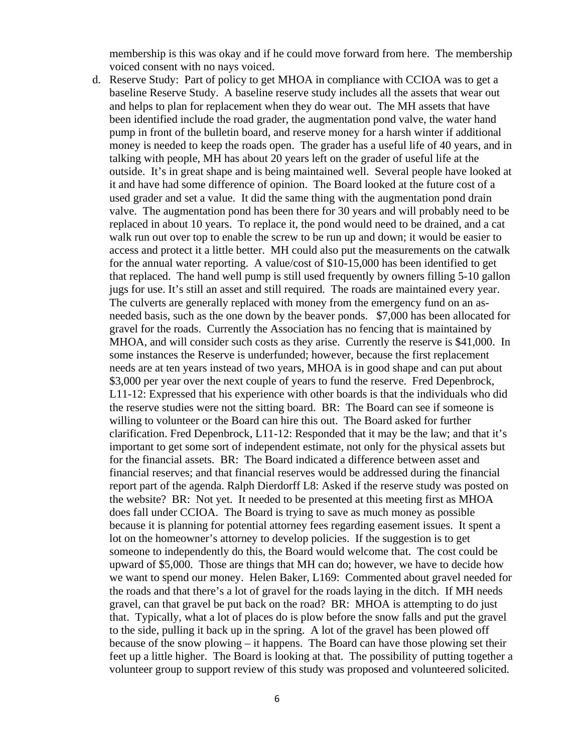membership is this was okay and if he could move forward from here. The membership voiced consent with no nays voiced.

d. Reserve Study: Part of policy to get MHOA in compliance with CCIOA was to get a baseline Reserve Study. A baseline reserve study includes all the assets that wear out and helps to plan for replacement when they do wear out. The MH assets that have been identified include the road grader, the augmentation pond valve, the water hand pump in front of the bulletin board, and reserve money for a harsh winter if additional money is needed to keep the roads open. The grader has a useful life of 40 years, and in talking with people, MH has about 20 years left on the grader of useful life at the outside. It's in great shape and is being maintained well. Several people have looked at it and have had some difference of opinion. The Board looked at the future cost of a used grader and set a value. It did the same thing with the augmentation pond drain valve. The augmentation pond has been there for 30 years and will probably need to be replaced in about 10 years. To replace it, the pond would need to be drained, and a cat walk run out over top to enable the screw to be run up and down; it would be easier to access and protect it a little better. MH could also put the measurements on the catwalk for the annual water reporting. A value/cost of \$10-15,000 has been identified to get that replaced. The hand well pump is still used frequently by owners filling 5-10 gallon jugs for use. It's still an asset and still required. The roads are maintained every year. The culverts are generally replaced with money from the emergency fund on an asneeded basis, such as the one down by the beaver ponds. \$7,000 has been allocated for gravel for the roads. Currently the Association has no fencing that is maintained by MHOA, and will consider such costs as they arise. Currently the reserve is \$41,000. In some instances the Reserve is underfunded; however, because the first replacement needs are at ten years instead of two years, MHOA is in good shape and can put about \$3,000 per year over the next couple of years to fund the reserve. Fred Depenbrock, L11-12: Expressed that his experience with other boards is that the individuals who did the reserve studies were not the sitting board. BR: The Board can see if someone is willing to volunteer or the Board can hire this out. The Board asked for further clarification. Fred Depenbrock, L11-12: Responded that it may be the law; and that it's important to get some sort of independent estimate, not only for the physical assets but for the financial assets. BR: The Board indicated a difference between asset and financial reserves; and that financial reserves would be addressed during the financial report part of the agenda. Ralph Dierdorff L8: Asked if the reserve study was posted on the website? BR: Not yet. It needed to be presented at this meeting first as MHOA does fall under CCIOA. The Board is trying to save as much money as possible because it is planning for potential attorney fees regarding easement issues. It spent a lot on the homeowner's attorney to develop policies. If the suggestion is to get someone to independently do this, the Board would welcome that. The cost could be upward of \$5,000. Those are things that MH can do; however, we have to decide how we want to spend our money. Helen Baker, L169: Commented about gravel needed for the roads and that there's a lot of gravel for the roads laying in the ditch. If MH needs gravel, can that gravel be put back on the road? BR: MHOA is attempting to do just that. Typically, what a lot of places do is plow before the snow falls and put the gravel to the side, pulling it back up in the spring. A lot of the gravel has been plowed off because of the snow plowing – it happens. The Board can have those plowing set their feet up a little higher. The Board is looking at that. The possibility of putting together a volunteer group to support review of this study was proposed and volunteered solicited.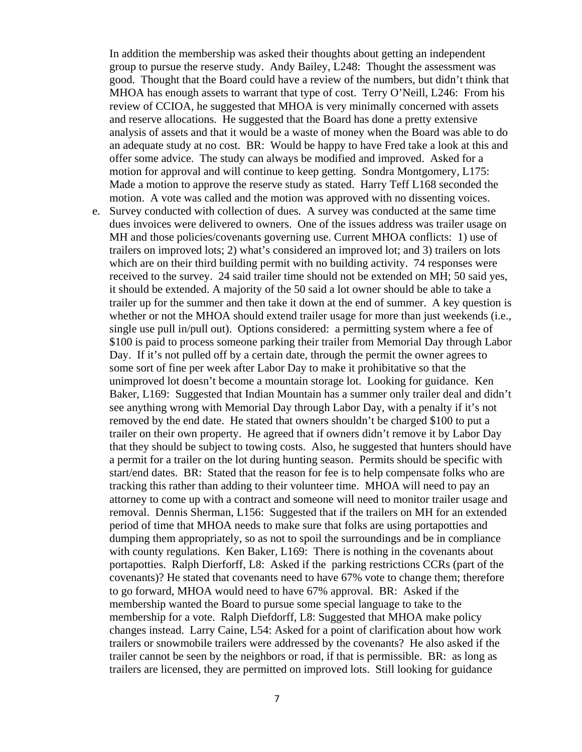In addition the membership was asked their thoughts about getting an independent group to pursue the reserve study. Andy Bailey, L248: Thought the assessment was good. Thought that the Board could have a review of the numbers, but didn't think that MHOA has enough assets to warrant that type of cost. Terry O'Neill, L246: From his review of CCIOA, he suggested that MHOA is very minimally concerned with assets and reserve allocations. He suggested that the Board has done a pretty extensive analysis of assets and that it would be a waste of money when the Board was able to do an adequate study at no cost. BR: Would be happy to have Fred take a look at this and offer some advice. The study can always be modified and improved. Asked for a motion for approval and will continue to keep getting. Sondra Montgomery, L175: Made a motion to approve the reserve study as stated. Harry Teff L168 seconded the motion. A vote was called and the motion was approved with no dissenting voices.

e. Survey conducted with collection of dues. A survey was conducted at the same time dues invoices were delivered to owners. One of the issues address was trailer usage on MH and those policies/covenants governing use. Current MHOA conflicts: 1) use of trailers on improved lots; 2) what's considered an improved lot; and 3) trailers on lots which are on their third building permit with no building activity. 74 responses were received to the survey. 24 said trailer time should not be extended on MH; 50 said yes, it should be extended. A majority of the 50 said a lot owner should be able to take a trailer up for the summer and then take it down at the end of summer. A key question is whether or not the MHOA should extend trailer usage for more than just weekends (i.e., single use pull in/pull out). Options considered: a permitting system where a fee of \$100 is paid to process someone parking their trailer from Memorial Day through Labor Day. If it's not pulled off by a certain date, through the permit the owner agrees to some sort of fine per week after Labor Day to make it prohibitative so that the unimproved lot doesn't become a mountain storage lot. Looking for guidance. Ken Baker, L169: Suggested that Indian Mountain has a summer only trailer deal and didn't see anything wrong with Memorial Day through Labor Day, with a penalty if it's not removed by the end date. He stated that owners shouldn't be charged \$100 to put a trailer on their own property. He agreed that if owners didn't remove it by Labor Day that they should be subject to towing costs. Also, he suggested that hunters should have a permit for a trailer on the lot during hunting season. Permits should be specific with start/end dates. BR: Stated that the reason for fee is to help compensate folks who are tracking this rather than adding to their volunteer time. MHOA will need to pay an attorney to come up with a contract and someone will need to monitor trailer usage and removal. Dennis Sherman, L156: Suggested that if the trailers on MH for an extended period of time that MHOA needs to make sure that folks are using portapotties and dumping them appropriately, so as not to spoil the surroundings and be in compliance with county regulations. Ken Baker, L169: There is nothing in the covenants about portapotties. Ralph Dierforff, L8: Asked if the parking restrictions CCRs (part of the covenants)? He stated that covenants need to have 67% vote to change them; therefore to go forward, MHOA would need to have 67% approval. BR: Asked if the membership wanted the Board to pursue some special language to take to the membership for a vote. Ralph Diefdorff, L8: Suggested that MHOA make policy changes instead. Larry Caine, L54: Asked for a point of clarification about how work trailers or snowmobile trailers were addressed by the covenants? He also asked if the trailer cannot be seen by the neighbors or road, if that is permissible. BR: as long as trailers are licensed, they are permitted on improved lots. Still looking for guidance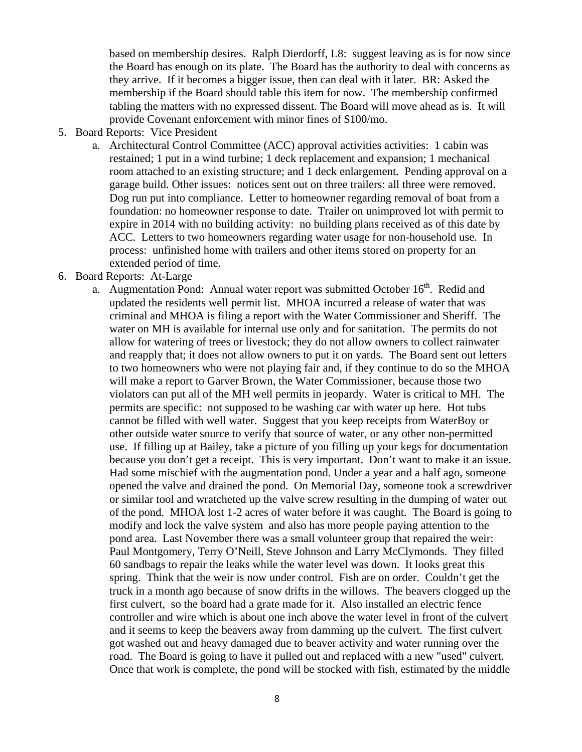based on membership desires. Ralph Dierdorff, L8: suggest leaving as is for now since the Board has enough on its plate. The Board has the authority to deal with concerns as they arrive. If it becomes a bigger issue, then can deal with it later. BR: Asked the membership if the Board should table this item for now. The membership confirmed tabling the matters with no expressed dissent. The Board will move ahead as is. It will provide Covenant enforcement with minor fines of \$100/mo.

- 5. Board Reports: Vice President
	- a. Architectural Control Committee (ACC) approval activities activities: 1 cabin was restained; 1 put in a wind turbine; 1 deck replacement and expansion; 1 mechanical room attached to an existing structure; and 1 deck enlargement. Pending approval on a garage build. Other issues: notices sent out on three trailers: all three were removed. Dog run put into compliance. Letter to homeowner regarding removal of boat from a foundation: no homeowner response to date. Trailer on unimproved lot with permit to expire in 2014 with no building activity: no building plans received as of this date by ACC. Letters to two homeowners regarding water usage for non-household use. In process: unfinished home with trailers and other items stored on property for an extended period of time.
- 6. Board Reports: At-Large
	- a. Augmentation Pond: Annual water report was submitted October  $16<sup>th</sup>$ . Redid and updated the residents well permit list. MHOA incurred a release of water that was criminal and MHOA is filing a report with the Water Commissioner and Sheriff. The water on MH is available for internal use only and for sanitation. The permits do not allow for watering of trees or livestock; they do not allow owners to collect rainwater and reapply that; it does not allow owners to put it on yards. The Board sent out letters to two homeowners who were not playing fair and, if they continue to do so the MHOA will make a report to Garver Brown, the Water Commissioner, because those two violators can put all of the MH well permits in jeopardy. Water is critical to MH. The permits are specific: not supposed to be washing car with water up here. Hot tubs cannot be filled with well water. Suggest that you keep receipts from WaterBoy or other outside water source to verify that source of water, or any other non-permitted use. If filling up at Bailey, take a picture of you filling up your kegs for documentation because you don't get a receipt. This is very important. Don't want to make it an issue. Had some mischief with the augmentation pond. Under a year and a half ago, someone opened the valve and drained the pond. On Memorial Day, someone took a screwdriver or similar tool and wratcheted up the valve screw resulting in the dumping of water out of the pond. MHOA lost 1-2 acres of water before it was caught. The Board is going to modify and lock the valve system and also has more people paying attention to the pond area. Last November there was a small volunteer group that repaired the weir: Paul Montgomery, Terry O'Neill, Steve Johnson and Larry McClymonds. They filled 60 sandbags to repair the leaks while the water level was down. It looks great this spring. Think that the weir is now under control. Fish are on order. Couldn't get the truck in a month ago because of snow drifts in the willows. The beavers clogged up the first culvert, so the board had a grate made for it. Also installed an electric fence controller and wire which is about one inch above the water level in front of the culvert and it seems to keep the beavers away from damming up the culvert. The first culvert got washed out and heavy damaged due to beaver activity and water running over the road. The Board is going to have it pulled out and replaced with a new "used" culvert. Once that work is complete, the pond will be stocked with fish, estimated by the middle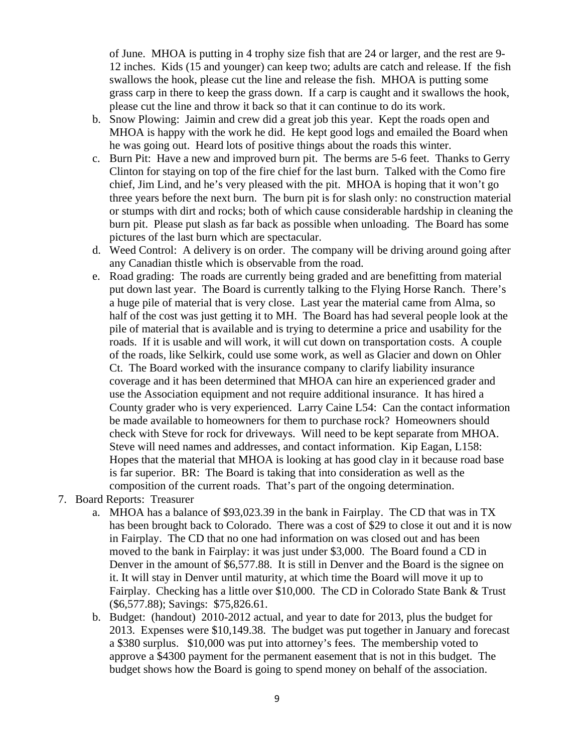of June. MHOA is putting in 4 trophy size fish that are 24 or larger, and the rest are 9- 12 inches. Kids (15 and younger) can keep two; adults are catch and release. If the fish swallows the hook, please cut the line and release the fish. MHOA is putting some grass carp in there to keep the grass down. If a carp is caught and it swallows the hook, please cut the line and throw it back so that it can continue to do its work.

- b. Snow Plowing: Jaimin and crew did a great job this year. Kept the roads open and MHOA is happy with the work he did. He kept good logs and emailed the Board when he was going out. Heard lots of positive things about the roads this winter.
- c. Burn Pit: Have a new and improved burn pit. The berms are 5-6 feet. Thanks to Gerry Clinton for staying on top of the fire chief for the last burn. Talked with the Como fire chief, Jim Lind, and he's very pleased with the pit. MHOA is hoping that it won't go three years before the next burn. The burn pit is for slash only: no construction material or stumps with dirt and rocks; both of which cause considerable hardship in cleaning the burn pit. Please put slash as far back as possible when unloading. The Board has some pictures of the last burn which are spectacular.
- d. Weed Control: A delivery is on order. The company will be driving around going after any Canadian thistle which is observable from the road.
- e. Road grading: The roads are currently being graded and are benefitting from material put down last year. The Board is currently talking to the Flying Horse Ranch. There's a huge pile of material that is very close. Last year the material came from Alma, so half of the cost was just getting it to MH. The Board has had several people look at the pile of material that is available and is trying to determine a price and usability for the roads. If it is usable and will work, it will cut down on transportation costs. A couple of the roads, like Selkirk, could use some work, as well as Glacier and down on Ohler Ct. The Board worked with the insurance company to clarify liability insurance coverage and it has been determined that MHOA can hire an experienced grader and use the Association equipment and not require additional insurance. It has hired a County grader who is very experienced. Larry Caine L54: Can the contact information be made available to homeowners for them to purchase rock? Homeowners should check with Steve for rock for driveways. Will need to be kept separate from MHOA. Steve will need names and addresses, and contact information. Kip Eagan, L158: Hopes that the material that MHOA is looking at has good clay in it because road base is far superior. BR: The Board is taking that into consideration as well as the composition of the current roads. That's part of the ongoing determination.
- 7. Board Reports: Treasurer
	- a. MHOA has a balance of \$93,023.39 in the bank in Fairplay. The CD that was in TX has been brought back to Colorado. There was a cost of \$29 to close it out and it is now in Fairplay. The CD that no one had information on was closed out and has been moved to the bank in Fairplay: it was just under \$3,000. The Board found a CD in Denver in the amount of \$6,577.88. It is still in Denver and the Board is the signee on it. It will stay in Denver until maturity, at which time the Board will move it up to Fairplay. Checking has a little over \$10,000. The CD in Colorado State Bank & Trust (\$6,577.88); Savings: \$75,826.61.
	- b. Budget: (handout) 2010-2012 actual, and year to date for 2013, plus the budget for 2013. Expenses were \$10,149.38. The budget was put together in January and forecast a \$380 surplus. \$10,000 was put into attorney's fees. The membership voted to approve a \$4300 payment for the permanent easement that is not in this budget. The budget shows how the Board is going to spend money on behalf of the association.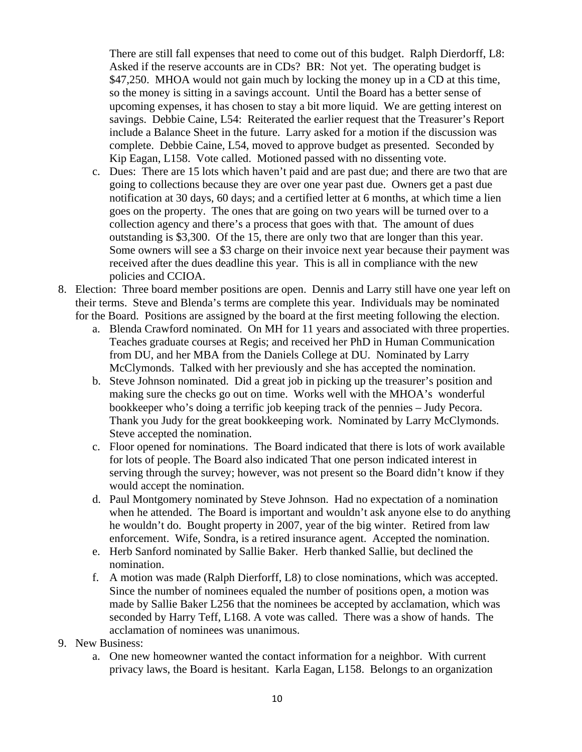There are still fall expenses that need to come out of this budget. Ralph Dierdorff, L8: Asked if the reserve accounts are in CDs? BR: Not yet. The operating budget is \$47,250. MHOA would not gain much by locking the money up in a CD at this time, so the money is sitting in a savings account. Until the Board has a better sense of upcoming expenses, it has chosen to stay a bit more liquid. We are getting interest on savings. Debbie Caine, L54: Reiterated the earlier request that the Treasurer's Report include a Balance Sheet in the future. Larry asked for a motion if the discussion was complete. Debbie Caine, L54, moved to approve budget as presented. Seconded by Kip Eagan, L158. Vote called. Motioned passed with no dissenting vote.

- c. Dues: There are 15 lots which haven't paid and are past due; and there are two that are going to collections because they are over one year past due. Owners get a past due notification at 30 days, 60 days; and a certified letter at 6 months, at which time a lien goes on the property. The ones that are going on two years will be turned over to a collection agency and there's a process that goes with that. The amount of dues outstanding is \$3,300. Of the 15, there are only two that are longer than this year. Some owners will see a \$3 charge on their invoice next year because their payment was received after the dues deadline this year. This is all in compliance with the new policies and CCIOA.
- 8. Election: Three board member positions are open. Dennis and Larry still have one year left on their terms. Steve and Blenda's terms are complete this year. Individuals may be nominated for the Board. Positions are assigned by the board at the first meeting following the election.
	- a. Blenda Crawford nominated. On MH for 11 years and associated with three properties. Teaches graduate courses at Regis; and received her PhD in Human Communication from DU, and her MBA from the Daniels College at DU. Nominated by Larry McClymonds. Talked with her previously and she has accepted the nomination.
	- b. Steve Johnson nominated. Did a great job in picking up the treasurer's position and making sure the checks go out on time. Works well with the MHOA's wonderful bookkeeper who's doing a terrific job keeping track of the pennies – Judy Pecora. Thank you Judy for the great bookkeeping work. Nominated by Larry McClymonds. Steve accepted the nomination.
	- c. Floor opened for nominations. The Board indicated that there is lots of work available for lots of people. The Board also indicated That one person indicated interest in serving through the survey; however, was not present so the Board didn't know if they would accept the nomination.
	- d. Paul Montgomery nominated by Steve Johnson. Had no expectation of a nomination when he attended. The Board is important and wouldn't ask anyone else to do anything he wouldn't do. Bought property in 2007, year of the big winter. Retired from law enforcement. Wife, Sondra, is a retired insurance agent. Accepted the nomination.
	- e. Herb Sanford nominated by Sallie Baker. Herb thanked Sallie, but declined the nomination.
	- f. A motion was made (Ralph Dierforff, L8) to close nominations, which was accepted. Since the number of nominees equaled the number of positions open, a motion was made by Sallie Baker L256 that the nominees be accepted by acclamation, which was seconded by Harry Teff, L168. A vote was called. There was a show of hands. The acclamation of nominees was unanimous.
- 9. New Business:
	- a. One new homeowner wanted the contact information for a neighbor. With current privacy laws, the Board is hesitant. Karla Eagan, L158. Belongs to an organization